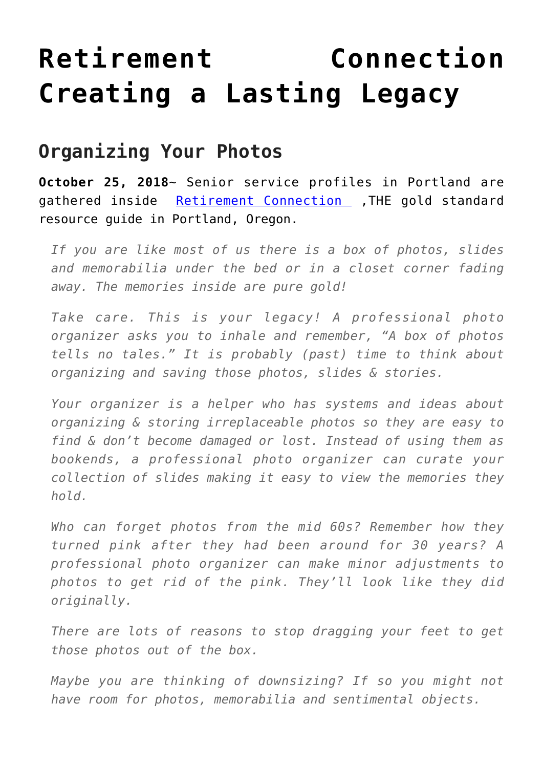## **[Retirement Connection](https://mybeautifullifestory.com/retirement-connection-creating-a-lasting-legacy/) [Creating a Lasting Legacy](https://mybeautifullifestory.com/retirement-connection-creating-a-lasting-legacy/)**

## **Organizing Your Photos**

**October 25, 2018**~ Senior service profiles in Portland are gathered inside [Retirement Connection](https://retirementconnection.com/) , THE gold standard resource guide in Portland, Oregon.

*If you are like most of us there is a box of photos, slides and memorabilia under the bed or in a closet corner fading away. The memories inside are pure gold!*

*Take care. This is your legacy! A professional photo organizer asks you to inhale and remember, "A box of photos tells no tales." It is probably (past) time to think about organizing and saving those photos, slides & stories.*

*Your organizer is a helper who has systems and ideas about organizing & storing irreplaceable photos so they are easy to find & don't become damaged or lost. Instead of using them as bookends, a professional photo organizer can curate your collection of slides making it easy to view the memories they hold.*

*Who can forget photos from the mid 60s? Remember how they turned pink after they had been around for 30 years? A professional photo organizer can make minor adjustments to photos to get rid of the pink. They'll look like they did originally.*

*There are lots of reasons to stop dragging your feet to get those photos out of the box.*

*Maybe you are thinking of downsizing? If so you might not have room for photos, memorabilia and sentimental objects.*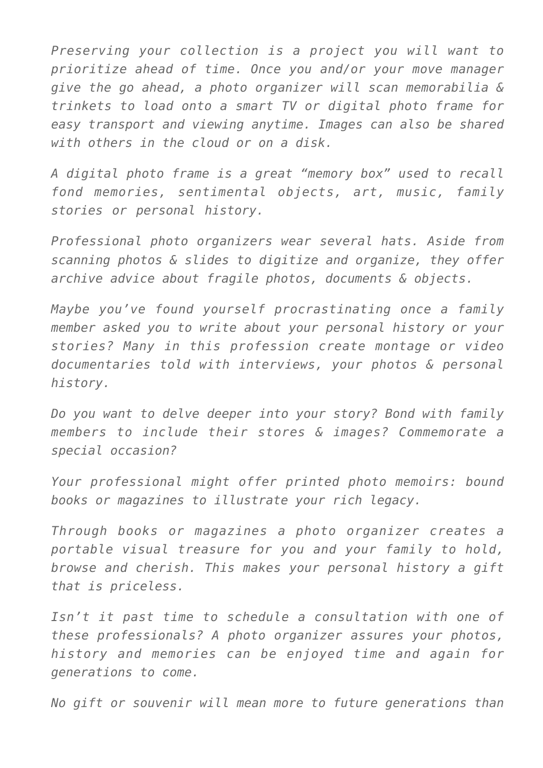*Preserving your collection is a project you will want to prioritize ahead of time. Once you and/or your move manager give the go ahead, a photo organizer will scan memorabilia & trinkets to load onto a smart TV or digital photo frame for easy transport and viewing anytime. Images can also be shared with others in the cloud or on a disk.*

*A digital photo frame is a great "memory box" used to recall fond memories, sentimental objects, art, music, family stories or personal history.*

*Professional photo organizers wear several hats. Aside from scanning photos & slides to digitize and organize, they offer archive advice about fragile photos, documents & objects.*

*Maybe you've found yourself procrastinating once a family member asked you to write about your personal history or your stories? Many in this profession create montage or video documentaries told with interviews, your photos & personal history.*

*Do you want to delve deeper into your story? Bond with family members to include their stores & images? Commemorate a special occasion?*

*Your professional might offer printed photo memoirs: bound books or magazines to illustrate your rich legacy.*

*Through books or magazines a photo organizer creates a portable visual treasure for you and your family to hold, browse and cherish. This makes your personal history a gift that is priceless.*

*Isn't it past time to schedule a consultation with one of these professionals? A photo organizer assures your photos, history and memories can be enjoyed time and again for generations to come.*

*No gift or souvenir will mean more to future generations than*